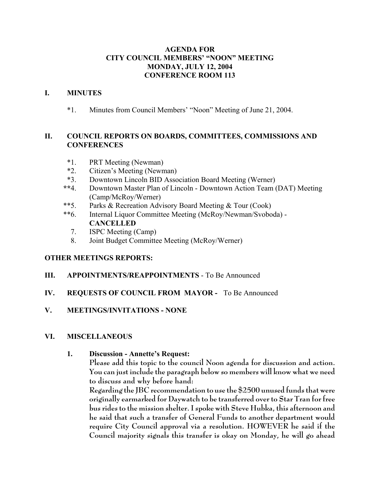## **AGENDA FOR CITY COUNCIL MEMBERS' "NOON" MEETING MONDAY, JULY 12, 2004 CONFERENCE ROOM 113**

### **I. MINUTES**

\*1. Minutes from Council Members' "Noon" Meeting of June 21, 2004.

## **II. COUNCIL REPORTS ON BOARDS, COMMITTEES, COMMISSIONS AND CONFERENCES**

- \*1. PRT Meeting (Newman)
- \*2. Citizen's Meeting (Newman)
- \*3. Downtown Lincoln BID Association Board Meeting (Werner)
- **\*\***4. Downtown Master Plan of Lincoln Downtown Action Team (DAT) Meeting (Camp/McRoy/Werner)
- \*\*5. Parks & Recreation Advisory Board Meeting & Tour (Cook)
- \*\*6. Internal Liquor Committee Meeting (McRoy/Newman/Svoboda) **CANCELLED**
	- 7. ISPC Meeting (Camp)
	- 8. Joint Budget Committee Meeting (McRoy/Werner)

## **OTHER MEETINGS REPORTS:**

### **III. APPOINTMENTS/REAPPOINTMENTS** - To Be Announced

## **IV. REQUESTS OF COUNCIL FROM MAYOR -** To Be Announced

**V. MEETINGS/INVITATIONS - NONE**

### **VI. MISCELLANEOUS**

### **1. Discussion - Annette's Request:**

**Please add this topic to the council Noon agenda for discussion and action. You can just include the paragraph below so members will know what we need to discuss and why before hand:**

**Regarding the JBC recommendation to use the \$2500 unused funds that were originally earmarked for Daywatch to be transferred over to Star Tran for free bus rides to the mission shelter. I spoke with Steve Hubka, this afternoon and he said that such a transfer of General Funds to another department would require City Council approval via a resolution. HOWEVER he said if the Council majority signals this transfer is okay on Monday, he will go ahead**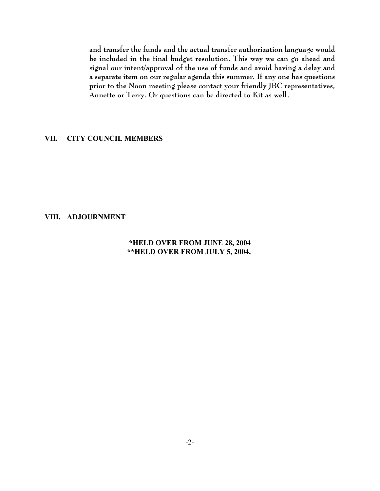**and transfer the funds and the actual transfer authorization language would be included in the final budget resolution. This way we can go ahead and signal our intent/approval of the use of funds and avoid having a delay and a separate item on our regular agenda this summer. If any one has questions prior to the Noon meeting please contact your friendly JBC representatives, Annette or Terry. Or questions can be directed to Kit as well**.

### **VII. CITY COUNCIL MEMBERS**

#### **VIII. ADJOURNMENT**

### **\*HELD OVER FROM JUNE 28, 2004 \*\*HELD OVER FROM JULY 5, 2004.**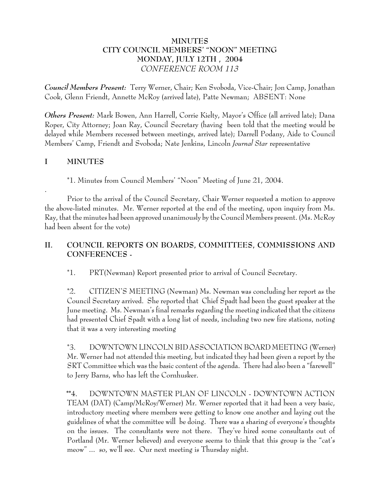## **MINUTES CITY COUNCIL MEMBERS' "NOON" MEETING MONDAY, JULY 12TH , 2004** *CONFERENCE ROOM 113*

*Council Members Present:* Terry Werner, Chair; Ken Svoboda, Vice-Chair; Jon Camp, Jonathan Cook, Glenn Friendt, Annette McRoy (arrived late), Patte Newman; ABSENT: None

*Others Present:* Mark Bowen, Ann Harrell, Corrie Kielty, Mayor's Office (all arrived late); Dana Roper, City Attorney; Joan Ray, Council Secretary (having been told that the meeting would be delayed while Members recessed between meetings, arrived late); Darrell Podany, Aide to Council Members' Camp, Friendt and Svoboda; Nate Jenkins, Lincoln *Journal Star* representative

## **I MINUTES**

.

\*1. Minutes from Council Members' "Noon" Meeting of June 21, 2004.

Prior to the arrival of the Council Secretary, Chair Werner requested a motion to approve the above-listed minutes. Mr. Werner reported at the end of the meeting, upon inquiry from Ms. Ray, that the minutes had been approved unanimously by the Council Members present. (Ms. McRoy had been absent for the vote)

# **II. COUNCIL REPORTS ON BOARDS, COMMITTEES, COMMISSIONS AND CONFERENCES -**

\*1. PRT(Newman) Report presented prior to arrival of Council Secretary.

\*2. CITIZEN'S MEETING (Newman) Ms. Newman was concluding her report as the Council Secretary arrived. She reported that Chief Spadt had been the guest speaker at the June meeting. Ms. Newman's final remarks regarding the meeting indicated that the citizens had presented Chief Spadt with a long list of needs, including two new fire stations, noting that it was a very interesting meeting

\*3. DOWNTOWN LINCOLN BID ASSOCIATION BOARD MEETING (Werner) Mr. Werner had not attended this meeting, but indicated they had been given a report by the SRT Committee which was the basic content of the agenda. There had also been a "farewell" to Jerry Barns, who has left the Cornhusker.

 **\*\***4. DOWNTOWN MASTER PLAN OF LINCOLN - DOWNTOWN ACTION TEAM (DAT) (Camp/McRoy/Werner) Mr. Werner reported that it had been a very basic, introductory meeting where members were getting to know one another and laying out the guidelines of what the committee will be doing. There was a sharing of everyone's thoughts on the issues. The consultants were not there. They've hired some consultants out of Portland (Mr. Werner believed) and everyone seems to think that this group is the "cat's meow" ... so, we'll see. Our next meeting is Thursday night.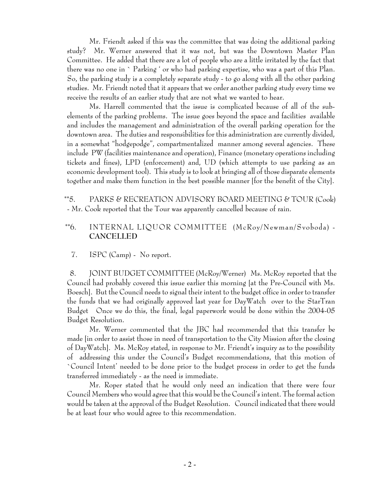Mr. Friendt asked if this was the committee that was doing the additional parking study? Mr. Werner answered that it was not, but was the Downtown Master Plan Committee. He added that there are a lot of people who are a little irritated by the fact that there was no one in ` Parking ' or who had parking expertise, who was a part of this Plan. So, the parking study is a completely separate study - to go along with all the other parking studies. Mr. Friendt noted that it appears that we order another parking study every time we receive the results of an earlier study that are not what we wanted to hear.

Ms. Harrell commented that the issue is complicated because of all of the subelements of the parking problems. The issue goes beyond the space and facilities available and includes the management and administration of the overall parking operation for the downtown area. The duties and responsibilities for this administration are currently divided, in a somewhat "hodgepodge", compartmentalized manner among several agencies. These include PW (facilities maintenance and operation), Finance (monetary operations including tickets and fines), LPD (enforcement) and, UD (which attempts to use parking as an economic development tool). This study is to look at bringing all of those disparate elements together and make them function in the best possible manner [for the benefit of the City].

 \*\*5. PARKS & RECREATION ADVISORY BOARD MEETING & TOUR (Cook) - Mr. Cook reported that the Tour was apparently cancelled because of rain.

## \*\*6. INTERNAL LIQUOR COMMITTEE (McRoy/Newman/Svoboda) - **CANCELLED**

7. ISPC (Camp) - No report.

 8. JOINT BUDGET COMMITTEE (McRoy/Werner) Ms. McRoy reported that the Council had probably covered this issue earlier this morning [at the Pre-Council with Ms. Boesch]. But the Council needs to signal their intent to the budget office in order to transfer the funds that we had originally approved last year for DayWatch over to the StarTran Budget Once we do this, the final, legal paperwork would be done within the 2004-05 Budget Resolution.

Mr. Werner commented that the JBC had recommended that this transfer be made [in order to assist those in need of transportation to the City Mission after the closing of DayWatch]. Ms. McRoy stated, in response to Mr. Friendt's inquiry as to the possibility of addressing this under the Council's Budget recommendations, that this motion of `Council Intent' needed to be done prior to the budget process in order to get the funds transferred immediately - as the need is immediate.

Mr. Roper stated that he would only need an indication that there were four Council Members who would agree that this would be the Council's intent. The formal action would be taken at the approval of the Budget Resolution. Council indicated that there would be at least four who would agree to this recommendation.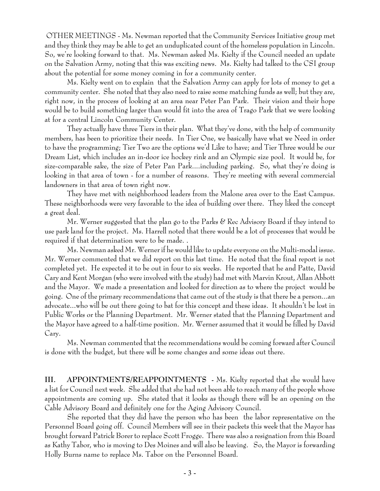OTHER MEETINGS - Ms. Newman reported that the Community Services Initiative group met and they think they may be able to get an unduplicated count of the homeless population in Lincoln. So, we're looking forward to that. Ms. Newman asked Ms. Kielty if the Council needed an update on the Salvation Army, noting that this was exciting news. Ms. Kielty had talked to the CSI group about the potential for some money coming in for a community center.

Ms. Kielty went on to explain that the Salvation Army can apply for lots of money to get a community center. She noted that they also need to raise some matching funds as well; but they are, right now, in the process of looking at an area near Peter Pan Park. Their vision and their hope would be to build something larger than would fit into the area of Trago Park that we were looking at for a central Lincoln Community Center.

They actually have three Tiers in their plan. What they've done, with the help of community members, has been to prioritize their needs. In Tier One, we basically have what we Need in order to have the programming; Tier Two are the options we'd Like to have; and Tier Three would be our Dream List, which includes an in-door ice hockey rink and an Olympic size pool. It would be, for size-comparable sake, the size of Peter Pan Park....including parking. So, what they're doing is looking in that area of town - for a number of reasons. They're meeting with several commercial landowners in that area of town right now.

They have met with neighborhood leaders from the Malone area over to the East Campus. These neighborhoods were very favorable to the idea of building over there. They liked the concept a great deal.

Mr. Werner suggested that the plan go to the Parks & Rec Advisory Board if they intend to use park land for the project. Ms. Harrell noted that there would be a lot of processes that would be required if that determination were to be made. .

Ms. Newman asked Mr. Werner if he would like to update everyone on the Multi-modal issue. Mr. Werner commented that we did report on this last time. He noted that the final report is not completed yet. He expected it to be out in four to six weeks. He reported that he and Patte, David Cary and Kent Morgan (who were involved with the study) had met with Marvin Krout, Allan Abbott and the Mayor. We made a presentation and looked for direction as to where the project would be going. One of the primary recommendations that came out of the study is that there be a person...an advocate...who will be out there going to bat for this concept and these ideas. It shouldn't be lost in Public Works or the Planning Department. Mr. Werner stated that the Planning Department and the Mayor have agreed to a half-time position. Mr. Werner assumed that it would be filled by David Cary.

Ms. Newman commented that the recommendations would be coming forward after Council is done with the budget, but there will be some changes and some ideas out there.

**III. APPOINTMENTS/REAPPOINTMENTS -** Ms. Kielty reported that she would have a list for Council next week. She added that she had not been able to reach many of the people whose appointments are coming up. She stated that it looks as though there will be an opening on the Cable Advisory Board and definitely one for the Aging Advisory Council.

She reported that they did have the person who has been the labor representative on the Personnel Board going off. Council Members will see in their packets this week that the Mayor has brought forward Patrick Borer to replace Scott Frogge. There was also a resignation from this Board as Kathy Tabor, who is moving to Des Moines and will also be leaving. So, the Mayor is forwarding Holly Burns name to replace Ms. Tabor on the Personnel Board.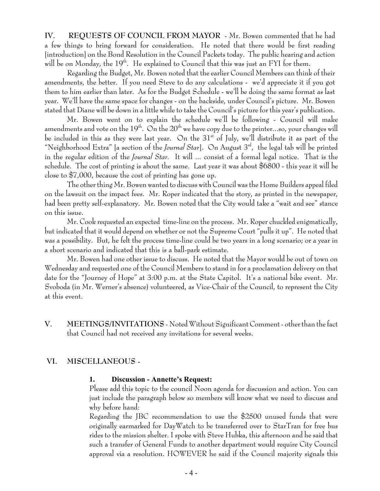**IV. REQUESTS OF COUNCIL FROM MAYOR** - Mr. Bowen commented that he had a few things to bring forward for consideration. He noted that there would be first reading [introduction] on the Bond Resolution in the Council Packets today. The public hearing and action will be on Monday, the 19<sup>th</sup>. He explained to Council that this was just an FYI for them.

Regarding the Budget, Mr. Bowen noted that the earlier Council Members can think of their amendments, the better. If you need Steve to do any calculations - we'd appreciate it if you got them to him earlier than later. As for the Budget Schedule - we'll be doing the same format as last year. We'll have the same space for changes - on the backside, under Council's picture. Mr. Bowen stated that Diane will be down in a little while to take the Council's picture for this year's publication.

Mr. Bowen went on to explain the schedule we'll be following - Council will make amendments and vote on the  $19<sup>th</sup>$ . On the  $20<sup>th</sup>$  we have copy due to the printer...so, your changes will be included in this as they were last year. On the  $31<sup>st</sup>$  of July, we'll distribute it as part of the "Neighborhood Extra" [a section of the *Journal Star*]. On August 3<sup>rd</sup>, the legal tab will be printed in the regular edition of the *Journal Star.* It will ... consist of a formal legal notice. That is the schedule. The cost of printing is about the same. Last year it was about \$6800 - this year it will be close to \$7,000, because the cost of printing has gone up.

The other thing Mr. Bowen wanted to discuss with Council was the Home Builders appeal filed on the lawsuit on the impact fees. Mr. Roper indicated that the story, as printed in the newspaper, had been pretty self-explanatory. Mr. Bowen noted that the City would take a "wait and see" stance on this issue.

Mr. Cook requested an expected time-line on the process. Mr. Roper chuckled enigmatically, but indicated that it would depend on whether or not the Supreme Court "pulls it up". He noted that was a possibility. But, he felt the process time-line could be two years in a long scenario; or a year in a short scenario and indicated that this is a ball-park estimate.

Mr. Bowen had one other issue to discuss. He noted that the Mayor would be out of town on Wednesday and requested one of the Council Members to stand in for a proclamation delivery on that date for the "Journey of Hope" at 3:00 p.m. at the State Capitol. It's a national bike event. Mr. Svoboda (in Mr. Werner's absence) volunteered, as Vice-Chair of the Council, to represent the City at this event.

**V. MEETINGS/INVITATIONS** - Noted Without Significant Comment - other than the fact that Council had not received any invitations for several weeks.

## **VI. MISCELLANEOUS -**

#### **1. Discussion - Annette's Request:**

Please add this topic to the council Noon agenda for discussion and action. You can just include the paragraph below so members will know what we need to discuss and why before hand:

Regarding the JBC recommendation to use the \$2500 unused funds that were originally earmarked for DayWatch to be transferred over to StarTran for free bus rides to the mission shelter. I spoke with Steve Hubka, this afternoon and he said that such a transfer of General Funds to another department would require City Council approval via a resolution. HOWEVER he said if the Council majority signals this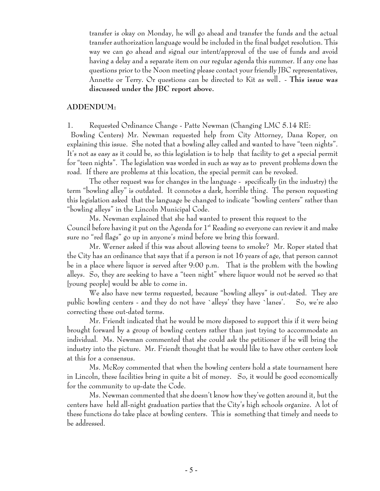transfer is okay on Monday, he will go ahead and transfer the funds and the actual transfer authorization language would be included in the final budget resolution. This way we can go ahead and signal our intent/approval of the use of funds and avoid having a delay and a separate item on our regular agenda this summer. If any one has questions prior to the Noon meeting please contact your friendly JBC representatives, Annette or Terry. Or questions can be directed to Kit as well. - **This issue was discussed under the JBC report above.**

#### **ADDENDUM:**

1. Requested Ordinance Change - Patte Newman (Changing LMC 5.14 RE:

 Bowling Centers) Mr. Newman requested help from City Attorney, Dana Roper, on explaining this issue. She noted that a bowling alley called and wanted to have "teen nights". It's not as easy as it could be, so this legislation is to help that facility to get a special permit for "teen nights". The legislation was worded in such as way as to prevent problems down the road. If there are problems at this location, the special permit can be revoked.

The other request was for changes in the language - specifically (in the industry) the term "bowling alley" is outdated. It connotes a dark, horrible thing. The person requesting this legislation asked that the language be changed to indicate "bowling centers" rather than "bowling alleys" in the Lincoln Municipal Code.

Ms. Newman explained that she had wanted to present this request to the Council before having it put on the Agenda for  $1<sup>st</sup>$  Reading so everyone can review it and make sure no "red flags" go up in anyone's mind before we bring this forward.

Mr. Werner asked if this was about allowing teens to smoke? Mr. Roper stated that the City has an ordinance that says that if a person is not 16 years of age, that person cannot be in a place where liquor is served after 9:00 p.m. That is the problem with the bowling alleys. So, they are seeking to have a "teen night" where liquor would not be served so that [young people] would be able to come in.

We also have new terms requested, because "bowling alleys" is out-dated. They are public bowling centers - and they do not have `alleys' they have `lanes'. So, we're also correcting these out-dated terms.

Mr. Friendt indicated that he would be more disposed to support this if it were being brought forward by a group of bowling centers rather than just trying to accommodate an individual. Ms. Newman commented that she could ask the petitioner if he will bring the industry into the picture. Mr. Friendt thought that he would like to have other centers look at this for a consensus.

Ms. McRoy commented that when the bowling centers hold a state tournament here in Lincoln, these facilities bring in quite a bit of money. So, it would be good economically for the community to up-date the Code.

Ms. Newman commented that she doesn't know how they've gotten around it, but the centers have held all-night graduation parties that the City's high schools organize. A lot of these functions do take place at bowling centers. This is something that timely and needs to be addressed.